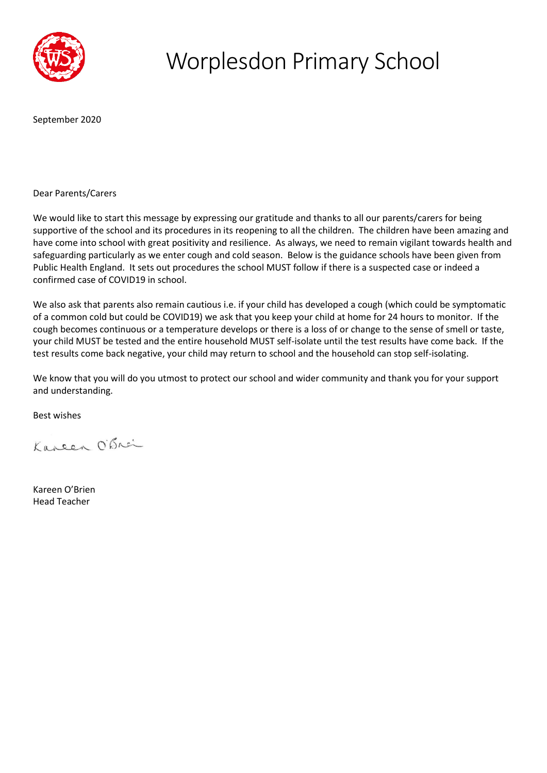

## Worplesdon Primary School

September 2020

Dear Parents/Carers

We would like to start this message by expressing our gratitude and thanks to all our parents/carers for being supportive of the school and its procedures in its reopening to all the children. The children have been amazing and have come into school with great positivity and resilience. As always, we need to remain vigilant towards health and safeguarding particularly as we enter cough and cold season. Below is the guidance schools have been given from Public Health England. It sets out procedures the school MUST follow if there is a suspected case or indeed a confirmed case of COVID19 in school.

We also ask that parents also remain cautious i.e. if your child has developed a cough (which could be symptomatic of a common cold but could be COVID19) we ask that you keep your child at home for 24 hours to monitor. If the cough becomes continuous or a temperature develops or there is a loss of or change to the sense of smell or taste, your child MUST be tested and the entire household MUST self-isolate until the test results have come back. If the test results come back negative, your child may return to school and the household can stop self-isolating.

We know that you will do you utmost to protect our school and wider community and thank you for your support and understanding.

Best wishes

Kareen O'Brei

Kareen O'Brien Head Teacher